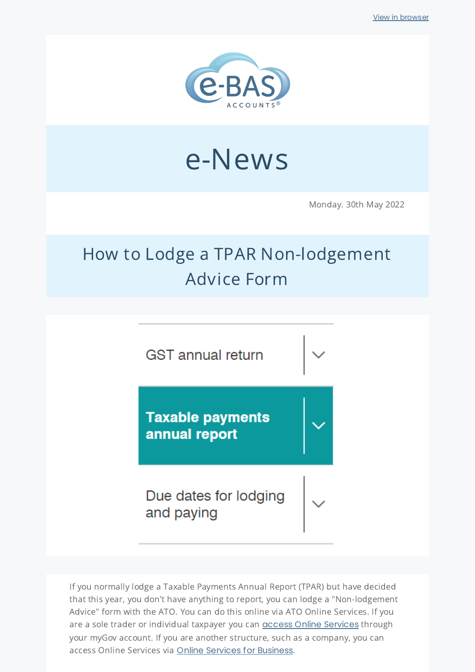

# e-News

Monday. 30th May 2022

## How to Lodge a TPAR Non-lodgement Advice Form



If you normally lodge a Taxable Payments Annual Report (TPAR) but have decided that this year, you don't have anything to report, you can lodge a "Non-lodgement Advice" form with the ATO. You can do this online via ATO Online Services. If you are a sole trader or individual taxpayer you can **access Online [Services](https://www.ato.gov.au/General/Online-services/Using-ATO-online-services/?anchor=Getstarted#Getstarted)** through your myGov account. If you are another structure, such as a company, you can access Online Services via Online Services for [Business](https://www.ato.gov.au/General/Online-services/Businesses/).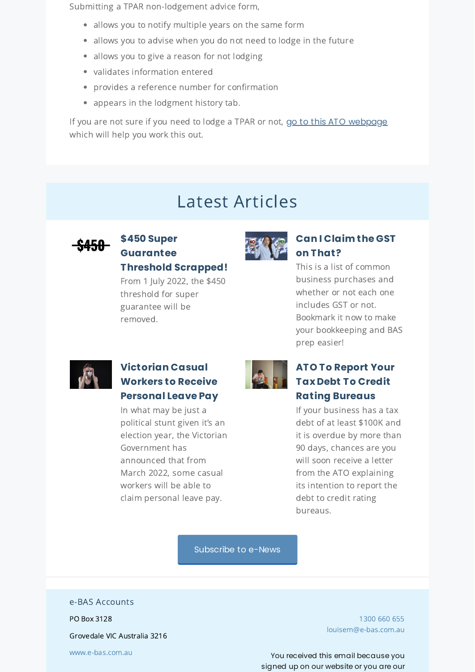Submitting a TPAR non-lodgement advice form,

- allows you to notify multiple years on the same form
- allows you to advise when you do not need to lodge in the future
- allows you to give a reason for not lodging
- validates information entered
- provides a reference number for confirmation
- appears in the lodgment history tab.

If you are not sure if you need to lodge a TPAR or not, go to this ATO [webpage](https://www.ato.gov.au/business/reports-and-returns/taxable-payments-annual-report/work-out-if-you-need-to-lodge-a-tpar/) which will help you work this out.

### Latest Articles



#### **\$450 Super [Guarantee](https://www.e-bas.com.au/450-super-guarantee-threshold-scrapped/) Threshold Scrapped!**

From 1 July 2022, the \$450 threshold for super guarantee will be removed.



#### **Can I [Claim](https://www.e-bas.com.au/can-i-claim-the-gst-on-that/) the GST on That?**

This is a list of common business purchases and whether or not each one includes GST or not. Bookmark it now to make your bookkeeping and BAS prep easier!



#### **[Victorian](https://www.e-bas.com.au/victorian-casual-workers-to-receive-personal-leave-pay/) Casual Workers to Receive Personal Leave Pay**

In what may be just a political stunt given it's an election year, the Victorian Government has announced that from March 2022, some casual workers will be able to claim personal leave pay.



#### **ATO To Report Your Tax Debt To Credit Rating [Bureaus](https://bit.ly/3M9ccup)**

If your business has a tax debt of at least \$100K and it is overdue by more than 90 days, chances are you will soon receive a letter from the ATO explaining its intention to report the debt to credit rating bureaus.

[Subscribe](https://landing.mailerlite.com/webforms/landing/v8m1z3) to e-News

#### e-BAS Accounts

PO Box 3128

Grovedale VIC Australia 3216

[1300](tel:1300 660 655) 660 655 [louisem@e-bas.com.au](mailto:louisem@e-bas.com.au)

You received this email because you signed up on our website or you are our

[www.e-bas.com.au](https://www.e-bas.com.au/)